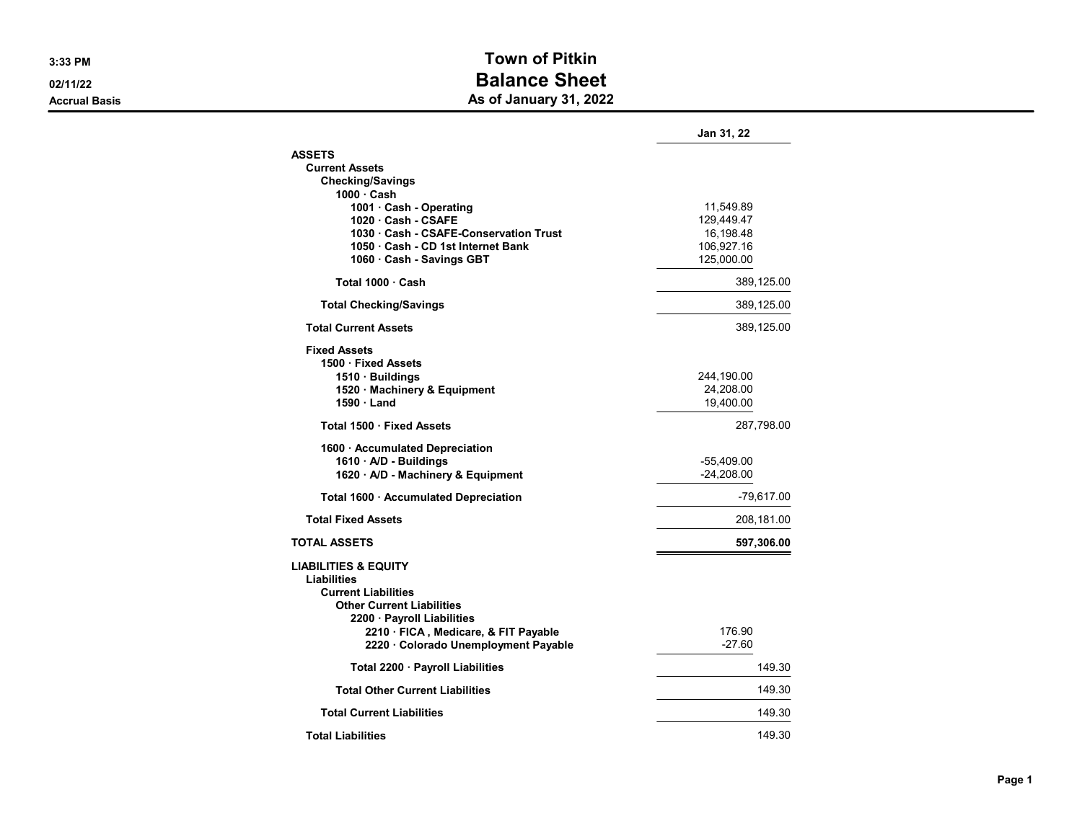## 3:33 PM Town of Pitkin 02/11/22 **Balance Sheet** Accrual Basis **Accrual Basis** As of January 31, 2022

|                                                                                                                                                                                                                                | Jan 31, 22                                                       |
|--------------------------------------------------------------------------------------------------------------------------------------------------------------------------------------------------------------------------------|------------------------------------------------------------------|
| <b>ASSETS</b><br><b>Current Assets</b><br><b>Checking/Savings</b>                                                                                                                                                              |                                                                  |
| 1000 · Cash<br>1001 · Cash - Operating<br>1020 Cash - CSAFE<br>1030 · Cash - CSAFE-Conservation Trust<br>1050 Cash - CD 1st Internet Bank<br>1060 · Cash - Savings GBT                                                         | 11,549.89<br>129,449.47<br>16,198.48<br>106,927.16<br>125,000.00 |
| Total 1000 · Cash                                                                                                                                                                                                              | 389,125.00                                                       |
| <b>Total Checking/Savings</b>                                                                                                                                                                                                  | 389,125.00                                                       |
| <b>Total Current Assets</b>                                                                                                                                                                                                    | 389,125.00                                                       |
| <b>Fixed Assets</b><br>1500 · Fixed Assets<br>1510 Buildings<br>1520 · Machinery & Equipment<br>$1590 \cdot$ Land                                                                                                              | 244,190.00<br>24,208.00<br>19,400.00                             |
| Total 1500 · Fixed Assets                                                                                                                                                                                                      | 287,798.00                                                       |
| 1600 · Accumulated Depreciation<br>1610 · A/D - Buildings<br>1620 · A/D - Machinery & Equipment                                                                                                                                | -55,409.00<br>$-24,208.00$                                       |
| Total 1600 · Accumulated Depreciation                                                                                                                                                                                          | $-79,617.00$                                                     |
| <b>Total Fixed Assets</b>                                                                                                                                                                                                      | 208,181.00                                                       |
| <b>TOTAL ASSETS</b>                                                                                                                                                                                                            | 597,306.00                                                       |
| <b>LIABILITIES &amp; EQUITY</b><br>Liabilities<br><b>Current Liabilities</b><br><b>Other Current Liabilities</b><br>2200 · Payroll Liabilities<br>2210 · FICA, Medicare, & FIT Payable<br>2220 · Colorado Unemployment Payable | 176.90<br>$-27.60$                                               |
| Total 2200 · Payroll Liabilities                                                                                                                                                                                               | 149.30                                                           |
| <b>Total Other Current Liabilities</b>                                                                                                                                                                                         | 149.30                                                           |
| <b>Total Current Liabilities</b>                                                                                                                                                                                               | 149.30                                                           |
| <b>Total Liabilities</b>                                                                                                                                                                                                       | 149.30                                                           |